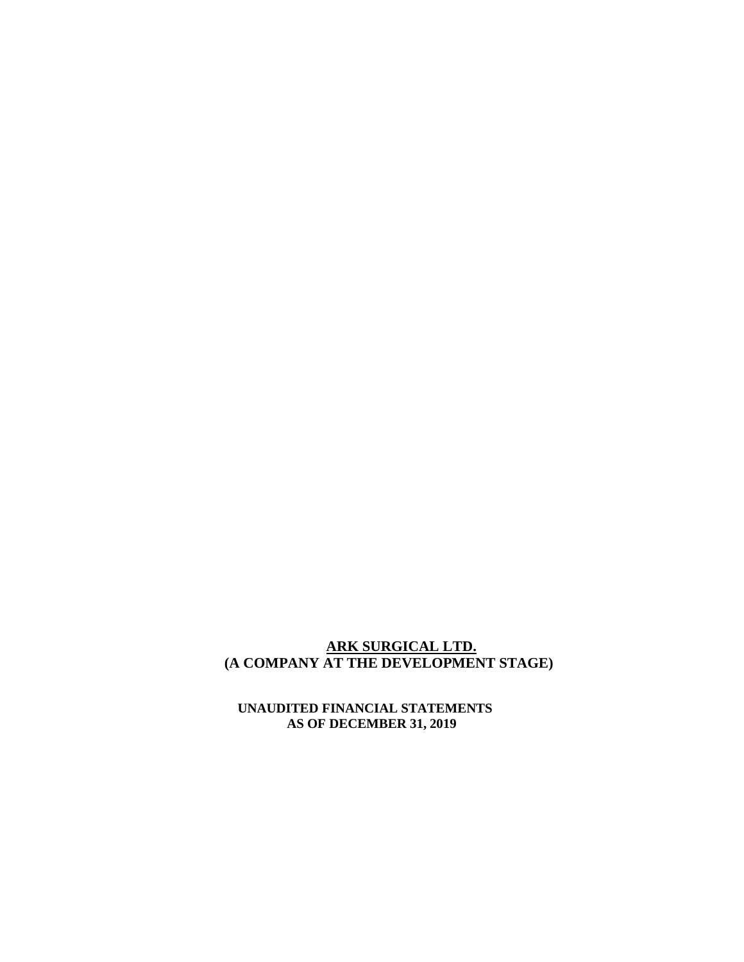## **ARK SURGICAL LTD. (A COMPANY AT THE DEVELOPMENT STAGE)**

 **UNAUDITED FINANCIAL STATEMENTS AS OF DECEMBER 31, 2019**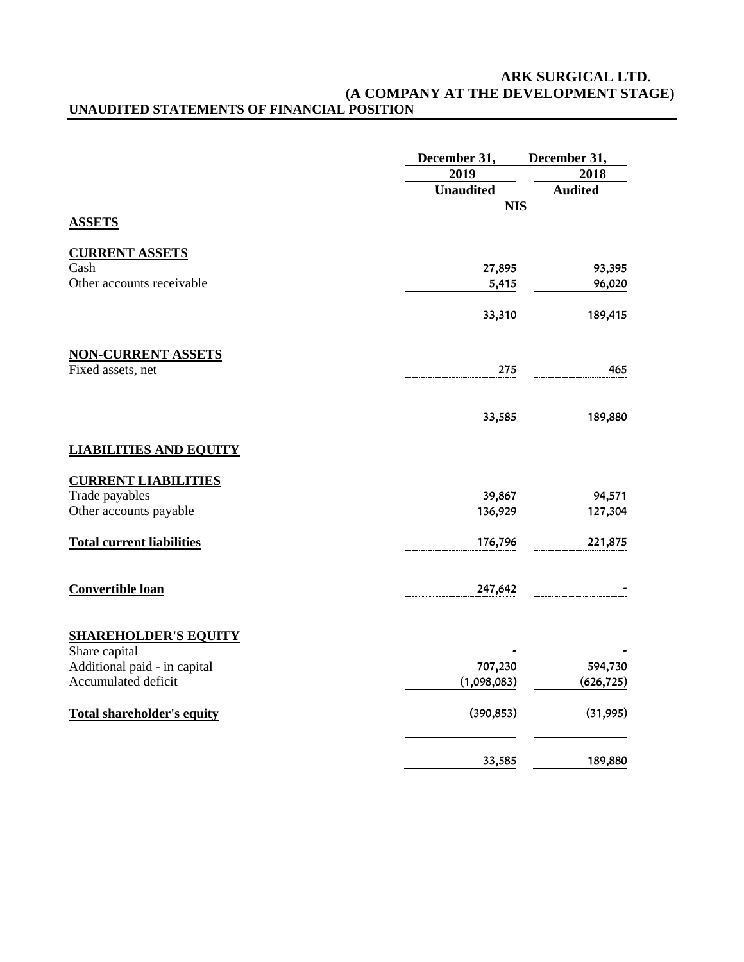#### **ARK SURGICAL LTD. (A COMPANY AT THE DEVELOPMENT STAGE) UNAUDITED STATEMENTS OF FINANCIAL POSITION**

|                                   | December 31,     | December 31,   |  |  |
|-----------------------------------|------------------|----------------|--|--|
|                                   | 2019             | 2018           |  |  |
|                                   | <b>Unaudited</b> | <b>Audited</b> |  |  |
|                                   |                  | <b>NIS</b>     |  |  |
| <b>ASSETS</b>                     |                  |                |  |  |
| <b>CURRENT ASSETS</b>             |                  |                |  |  |
| Cash                              | 27,895           | 93,395         |  |  |
| Other accounts receivable         | 5,415            | 96,020         |  |  |
|                                   | 33,310           | 189,415        |  |  |
| <b>NON-CURRENT ASSETS</b>         |                  |                |  |  |
| Fixed assets, net                 | 275              | 465            |  |  |
|                                   | 33,585           | 189,880        |  |  |
| <b>LIABILITIES AND EQUITY</b>     |                  |                |  |  |
| <b>CURRENT LIABILITIES</b>        |                  |                |  |  |
| Trade payables                    | 39,867           | 94,571         |  |  |
| Other accounts payable            | 136,929          | 127,304        |  |  |
| <b>Total current liabilities</b>  | 176,796          | 221,875        |  |  |
| Convertible loan                  | 247,642          |                |  |  |
| <b>SHAREHOLDER'S EQUITY</b>       |                  |                |  |  |
| Share capital                     |                  |                |  |  |
| Additional paid - in capital      | 707,230          | 594,730        |  |  |
| Accumulated deficit               | (1,098,083)      | (626, 725)     |  |  |
| <b>Total shareholder's equity</b> | (390, 853)       | (31, 995)      |  |  |
|                                   | 33,585           | 189,880        |  |  |
|                                   |                  |                |  |  |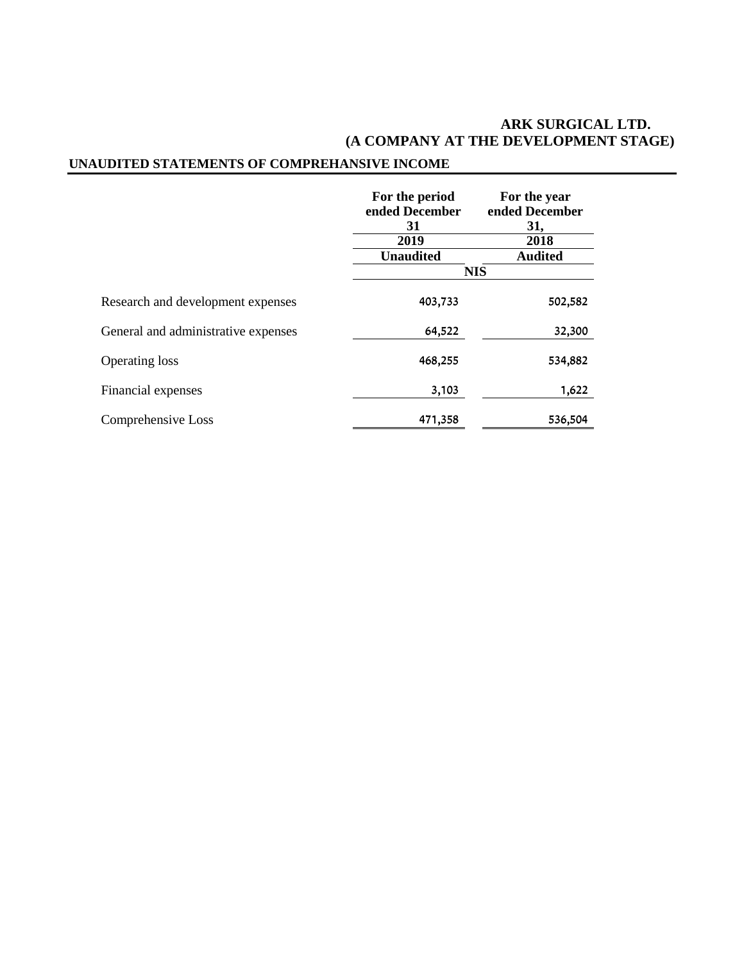## **ARK SURGICAL LTD. (A COMPANY AT THE DEVELOPMENT STAGE)**

# **UNAUDITED STATEMENTS OF COMPREHANSIVE INCOME**

|                                     | For the period<br>ended December<br>31<br>2019 | For the year<br>ended December<br>31,<br>2018 |  |  |
|-------------------------------------|------------------------------------------------|-----------------------------------------------|--|--|
|                                     | <b>Unaudited</b>                               | <b>Audited</b>                                |  |  |
|                                     |                                                | <b>NIS</b>                                    |  |  |
| Research and development expenses   | 403,733                                        | 502,582                                       |  |  |
| General and administrative expenses | 64,522                                         | 32,300                                        |  |  |
| <b>Operating loss</b>               | 468,255                                        | 534,882                                       |  |  |
| Financial expenses                  | 3,103                                          | 1,622                                         |  |  |
| Comprehensive Loss                  | 471,358                                        | 536,504                                       |  |  |